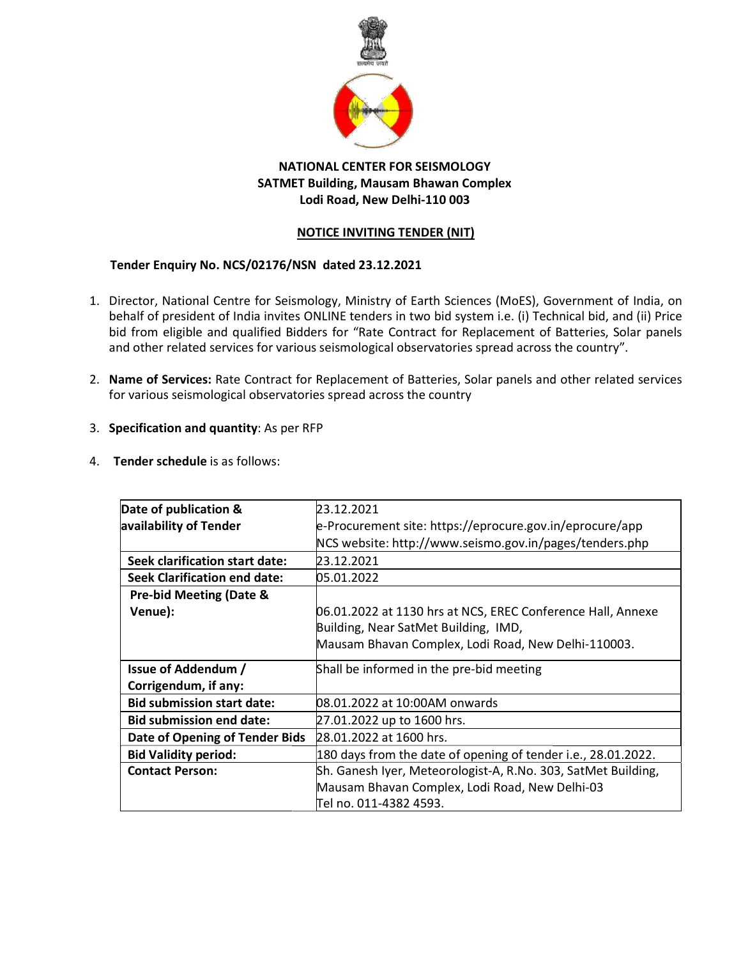

## NATIONAL CENTER FOR SEISMOLOGY SATMET Building, Mausam Bhawan Complex TIONAL CENTER FOR SEISMOLOGY<br>T Building, Mausam Bhawan Complex<br>Lodi Road, New Delhi-110 003

## NOTICE INVITING TENDER (NIT)

## Tender Enquiry No. NCS/02176/NSN dated 23.12.2021

- 1. Director, National Centre for Seismology, Ministry of Earth Sciences (MoES), Government of India, on behalf of president of India invites ONLINE tenders in two bid system i.e. (i) Technical bid, and (ii) Price bid from eligible and qualified Bidders for "Rate Contract for Replacement of Batteries, Solar panels and other related services for various seismological observatories spread across the country". Director, National Centre for Seismology, Ministry of Earth Sciences (MoES), Government of India, on<br>behalf of president of India invites ONLINE tenders in two bid system i.e. (i) Technical bid, and (ii) Price<br>bid from eli
- 2. Name of Services: Rate Contract for Replacement of Batteries, Solar panels and other related services for various seismological observatories spread across the country
- 3. Specification and quantity: As per RFP
- 4. Tender schedule is as follows:

| or various seismological observatories spread across the country | ame of Services: Rate Contract for Replacement of Batteries, Solar panels and other related services |  |
|------------------------------------------------------------------|------------------------------------------------------------------------------------------------------|--|
| <b>pecification and quantity: As per RFP</b>                     |                                                                                                      |  |
| ender schedule is as follows:                                    |                                                                                                      |  |
| Date of publication &                                            | 23.12.2021                                                                                           |  |
| availability of Tender                                           | e-Procurement site: https://eprocure.gov.in/eprocure/app                                             |  |
|                                                                  | NCS website: http://www.seismo.gov.in/pages/tenders.php                                              |  |
| Seek clarification start date:                                   | 23.12.2021                                                                                           |  |
| <b>Seek Clarification end date:</b>                              | 05.01.2022                                                                                           |  |
| <b>Pre-bid Meeting (Date &amp;</b>                               |                                                                                                      |  |
| Venue):                                                          | 06.01.2022 at 1130 hrs at NCS, EREC Conference Hall, Annexe                                          |  |
|                                                                  | Building, Near SatMet Building, IMD,                                                                 |  |
|                                                                  | Mausam Bhavan Complex, Lodi Road, New Delhi-110003.                                                  |  |
| <b>Issue of Addendum /</b>                                       | Shall be informed in the pre-bid meeting                                                             |  |
| Corrigendum, if any:                                             |                                                                                                      |  |
| <b>Bid submission start date:</b>                                | 08.01.2022 at 10:00AM onwards                                                                        |  |
| <b>Bid submission end date:</b>                                  | 27.01.2022 up to 1600 hrs.                                                                           |  |
| Date of Opening of Tender Bids                                   | 28.01.2022 at 1600 hrs.                                                                              |  |
| <b>Bid Validity period:</b>                                      | 180 days from the date of opening of tender i.e., 28.01.2022.                                        |  |
| <b>Contact Person:</b>                                           | Sh. Ganesh Iyer, Meteorologist-A, R.No. 303, SatMet Building,                                        |  |
|                                                                  | Mausam Bhavan Complex, Lodi Road, New Delhi-03                                                       |  |
|                                                                  | Tel no. 011-4382 4593.                                                                               |  |